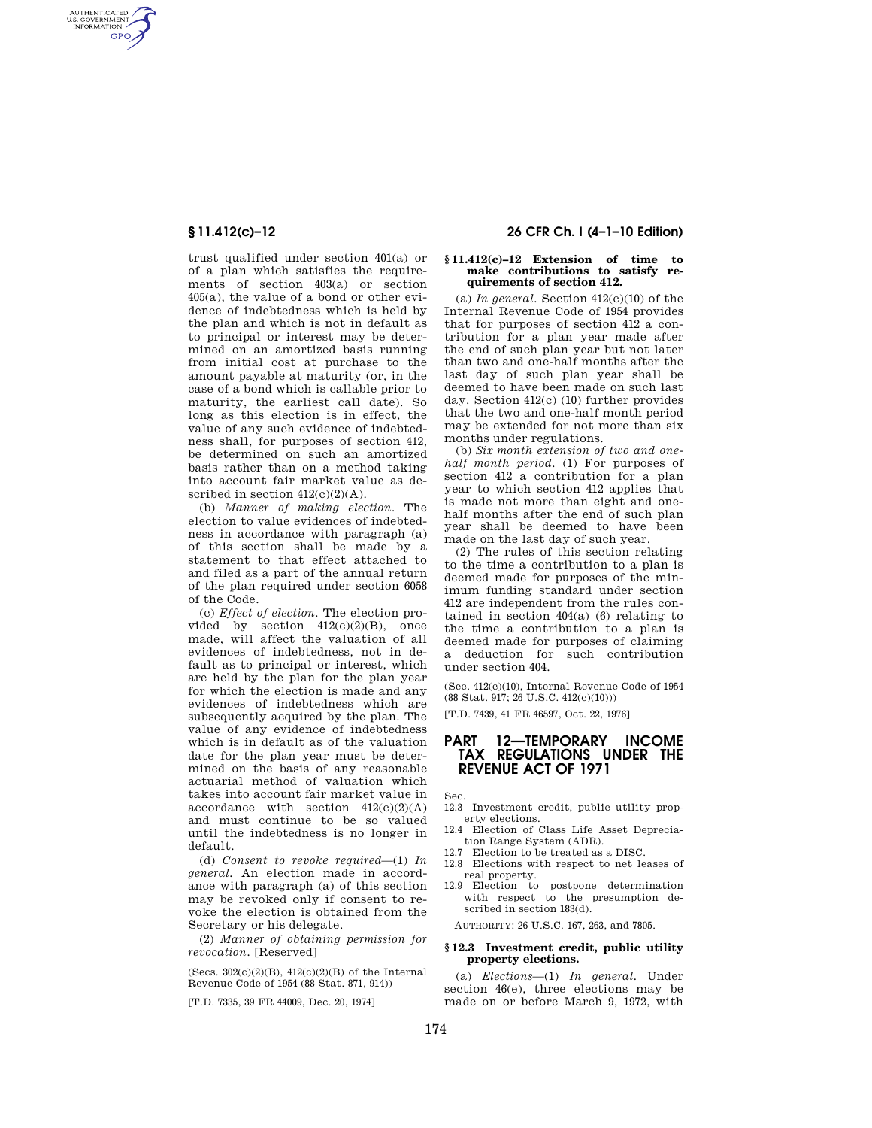AUTHENTICATED<br>U.S. GOVERNMENT<br>INFORMATION **GPO** 

> trust qualified under section 401(a) or of a plan which satisfies the requirements of section 403(a) or section 405(a), the value of a bond or other evidence of indebtedness which is held by the plan and which is not in default as to principal or interest may be determined on an amortized basis running from initial cost at purchase to the amount payable at maturity (or, in the case of a bond which is callable prior to maturity, the earliest call date). So long as this election is in effect, the value of any such evidence of indebtedness shall, for purposes of section 412, be determined on such an amortized basis rather than on a method taking into account fair market value as described in section  $412(c)(2)(A)$ .

> (b) *Manner of making election.* The election to value evidences of indebtedness in accordance with paragraph (a) of this section shall be made by a statement to that effect attached to and filed as a part of the annual return of the plan required under section 6058 of the Code.

> (c) *Effect of election.* The election provided by section  $412(c)(2)(B)$ , once made, will affect the valuation of all evidences of indebtedness, not in default as to principal or interest, which are held by the plan for the plan year for which the election is made and any evidences of indebtedness which are subsequently acquired by the plan. The value of any evidence of indebtedness which is in default as of the valuation date for the plan year must be determined on the basis of any reasonable actuarial method of valuation which takes into account fair market value in accordance with section  $412(c)(2)(A)$ and must continue to be so valued until the indebtedness is no longer in default.

> (d) *Consent to revoke required*—(1) *In general.* An election made in accordance with paragraph (a) of this section may be revoked only if consent to revoke the election is obtained from the Secretary or his delegate.

(2) *Manner of obtaining permission for revocation.* [Reserved]

(Secs.  $302(c)(2)(B)$ ,  $412(c)(2)(B)$  of the Internal Revenue Code of 1954 (88 Stat. 871, 914))

[T.D. 7335, 39 FR 44009, Dec. 20, 1974]

# **§ 11.412(c)–12 26 CFR Ch. I (4–1–10 Edition)**

# **§ 11.412(c)–12 Extension of time to make contributions to satisfy requirements of section 412.**

(a) In general. Section  $412(c)(10)$  of the Internal Revenue Code of 1954 provides that for purposes of section 412 a contribution for a plan year made after the end of such plan year but not later than two and one-half months after the last day of such plan year shall be deemed to have been made on such last day. Section 412(c) (10) further provides that the two and one-half month period may be extended for not more than six months under regulations.

(b) *Six month extension of two and onehalf month period.* (1) For purposes of section 412 a contribution for a plan year to which section 412 applies that is made not more than eight and onehalf months after the end of such plan year shall be deemed to have been made on the last day of such year.

(2) The rules of this section relating to the time a contribution to a plan is deemed made for purposes of the minimum funding standard under section 412 are independent from the rules contained in section 404(a) (6) relating to the time a contribution to a plan is deemed made for purposes of claiming a deduction for such contribution under section 404.

(Sec. 412(c)(10), Internal Revenue Code of 1954  $(88\ \mathrm{Stat.\ 917};\,26\ \mathrm{U.S.C.\ 412}(\mathrm{c})(10)))$ 

[T.D. 7439, 41 FR 46597, Oct. 22, 1976]

# **PART 12—TEMPORARY INCOME TAX REGULATIONS UNDER THE REVENUE ACT OF 1971**

Sec.

12.3 Investment credit, public utility property elections.

- 12.4 Election of Class Life Asset Depreciation Range System (ADR).
- 12.7 Election to be treated as a DISC.
- 12.8 Elections with respect to net leases of real property.
- 12.9 Election to postpone determination with respect to the presumption described in section 183(d).

AUTHORITY: 26 U.S.C. 167, 263, and 7805.

#### **§ 12.3 Investment credit, public utility property elections.**

(a) *Elections*—(1) *In general.* Under section 46(e), three elections may be made on or before March 9, 1972, with